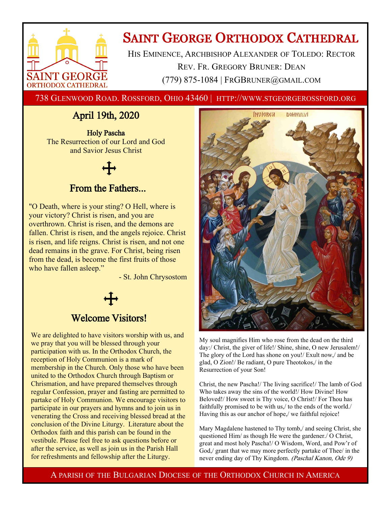

# **SAINT GEORGE ORTHODOX CATHEDRAL**

HIS EMINENCE, ARCHBISHOP ALEXANDER OF TOLEDO: RECTOR REV. FR. GREGORY BRUNER: DEAN (779) 875-1084 | FRGBRUNER@GMAIL.COM

738 GLENWOOD ROAD. ROSSFORD, OHIO 43460 | HTTP://WWW.STGEORGEROSSFORD.ORG

## April 19th, 2020

Holy Pascha The Resurrection of our Lord and God and Savior Jesus Christ

### From the Fathers...

"O Death, where is your sting? O Hell, where is your victory? Christ is risen, and you are overthrown. Christ is risen, and the demons are fallen. Christ is risen, and the angels rejoice. Christ is risen, and life reigns. Christ is risen, and not one dead remains in the grave. For Christ, being risen from the dead, is become the first fruits of those who have fallen asleep."

- St. John Chrysostom

### Welcome Visitors!

We are delighted to have visitors worship with us, and we pray that you will be blessed through your participation with us. In the Orthodox Church, the reception of Holy Communion is a mark of membership in the Church. Only those who have been united to the Orthodox Church through Baptism or Chrismation, and have prepared themselves through regular Confession, prayer and fasting are permitted to partake of Holy Communion. We encourage visitors to participate in our prayers and hymns and to join us in venerating the Cross and receiving blessed bread at the conclusion of the Divine Liturgy. Literature about the Orthodox faith and this parish can be found in the vestibule. Please feel free to ask questions before or after the service, as well as join us in the Parish Hall for refreshments and fellowship after the Liturgy.



My soul magnifies Him who rose from the dead on the third day:/ Christ, the giver of life!/ Shine, shine, O new Jerusalem!/ The glory of the Lord has shone on you!/ Exult now,/ and be glad, O Zion!/ Be radiant, O pure Theotokos,/ in the Resurrection of your Son!

Christ, the new Pascha!/ The living sacrifice!/ The lamb of God Who takes away the sins of the world!/ How Divine! How Beloved!/ How sweet is Thy voice, O Christ!/ For Thou has faithfully promised to be with us,/ to the ends of the world./ Having this as our anchor of hope,/ we faithful rejoice!

Mary Magdalene hastened to Thy tomb,/ and seeing Christ, she questioned Him/ as though He were the gardener./ O Christ, great and most holy Pascha!/ O Wisdom, Word, and Pow'r of God,/ grant that we may more perfectly partake of Thee/ in the never ending day of Thy Kingdom. (Paschal Kanon, Ode 9)

A PARISH OF THE BULGARIAN DIOCESE OF THE ORTHODOX CHURCH IN AMERICA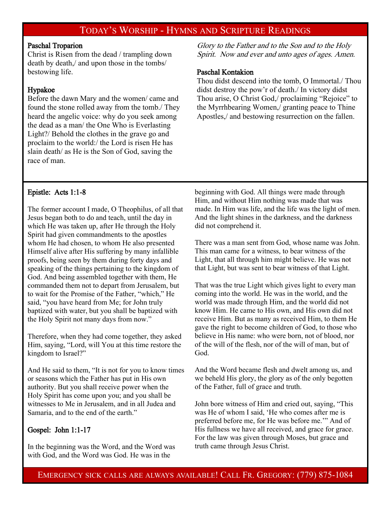### TODAY'S WORSHIP - HYMNS AND SCRIPTURE READINGS

### Paschal Troparion

Christ is Risen from the dead / trampling down death by death,/ and upon those in the tombs/ bestowing life.

### Hypakoe

Before the dawn Mary and the women/ came and found the stone rolled away from the tomb./ They heard the angelic voice: why do you seek among the dead as a man/ the One Who is Everlasting Light?/ Behold the clothes in the grave go and proclaim to the world:/ the Lord is risen He has slain death/ as He is the Son of God, saving the race of man.

Glory to the Father and to the Son and to the Holy Spirit. Now and ever and unto ages of ages. Amen.

### Paschal Kontakion

Thou didst descend into the tomb, O Immortal./ Thou didst destroy the pow'r of death./ In victory didst Thou arise, O Christ God,/ proclaiming "Rejoice" to the Myrrhbearing Women,/ granting peace to Thine Apostles,/ and bestowing resurrection on the fallen.

### Epistle: Acts 1:1-8

The former account I made, O Theophilus, of all that Jesus began both to do and teach, until the day in which He was taken up, after He through the Holy Spirit had given commandments to the apostles whom He had chosen, to whom He also presented Himself alive after His suffering by many infallible proofs, being seen by them during forty days and speaking of the things pertaining to the kingdom of God. And being assembled together with them, He commanded them not to depart from Jerusalem, but to wait for the Promise of the Father, "which," He said, "you have heard from Me; for John truly baptized with water, but you shall be baptized with the Holy Spirit not many days from now."

Therefore, when they had come together, they asked Him, saying, "Lord, will You at this time restore the kingdom to Israel?"

And He said to them, "It is not for you to know times or seasons which the Father has put in His own authority. But you shall receive power when the Holy Spirit has come upon you; and you shall be witnesses to Me in Jerusalem, and in all Judea and Samaria, and to the end of the earth."

### Gospel: John 1:1-17

In the beginning was the Word, and the Word was with God, and the Word was God. He was in the

beginning with God. All things were made through Him, and without Him nothing was made that was made. In Him was life, and the life was the light of men. And the light shines in the darkness, and the darkness did not comprehend it.

There was a man sent from God, whose name was John. This man came for a witness, to bear witness of the Light, that all through him might believe. He was not that Light, but was sent to bear witness of that Light.

That was the true Light which gives light to every man coming into the world. He was in the world, and the world was made through Him, and the world did not know Him. He came to His own, and His own did not receive Him. But as many as received Him, to them He gave the right to become children of God, to those who believe in His name: who were born, not of blood, nor of the will of the flesh, nor of the will of man, but of God.

And the Word became flesh and dwelt among us, and we beheld His glory, the glory as of the only begotten of the Father, full of grace and truth.

John bore witness of Him and cried out, saying, "This was He of whom I said, 'He who comes after me is preferred before me, for He was before me.'" And of His fullness we have all received, and grace for grace. For the law was given through Moses, but grace and truth came through Jesus Christ.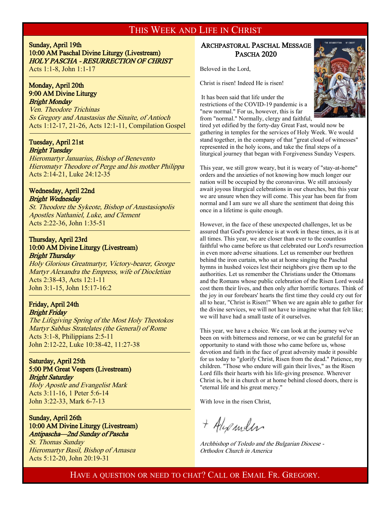### THIS WEEK AND LIFE IN CHRIST

Sunday, April 19th 10:00 AM Paschal Divine Liturgy (Livestream) HOLY PASCHA - RESURRECTION OF CHRIST Acts 1:1-8, John 1:1-17

#### Monday, April 20th 9:00 AM Divine Liturgy Bright Monday

<sup>-</sup>

j

Ven. Theodore Trichinas Ss Gregory and Anastasius the Sinaite, of Antioch Acts 1:12-17, 21-26, Acts 12:1-11, Compilation Gospel

#### Tuesday, April 21st Bright Tuesday

Hieromartyr Januarius, Bishop of Benevento Hieromatyr Theodore of Perge and his mother Philippa Acts 2:14-21, Luke 24:12-35

#### Wednesday, April 22nd Bright Wednesday

St. Theodore the Sykeote, Bishop of Anastasiopolis Apostles Nathaniel, Luke, and Clement Acts 2:22-36, John 1:35-51

### Thursday, April 23rd 10:00 AM Divine Liturgy (Livestream) Bright Thursday

Holy Glorious Greatmartyr, Victory-bearer, George Martyr Alexandra the Empress, wife of Diocletian Acts 2:38-43, Acts 12:1-11 John 3:1-15, John 15:17-16:2

### Friday, April 24th Bright Friday

The Lifegiving Spring of the Most Holy Theotokos Martyr Sabbas Stratelates (the General) of Rome Acts 3:1-8, Philippians 2:5-11 John 2:12-22, Luke 10:38-42, 11:27-38

### Saturday, April 25th 5:00 PM Great Vespers (Livestream) Bright Saturday

Holy Apostle and Evangelist Mark Acts 3:11-16, 1 Peter 5:6-14 John 3:22-33, Mark 6-7-13

#### Sunday, April 26th 10:00 AM Divine Liturgy (Livestream) Antipascha—2nd Sunday of Pascha

St. Thomas Sunday Hieromartyr Basil, Bishop of Amasea Acts 5:12-20, John 20:19-31

### ARCHPASTORAL PASCHAL MESSAGE PASCHA 2020

Beloved in the Lord,

Christ is risen! Indeed He is risen!

It has been said that life under the restrictions of the COVID-19 pandemic is a "new normal." For us, however, this is far from "normal." Normally, clergy and faithful,



tired yet edified by the forty-day Great Fast, would now be gathering in temples for the services of Holy Week. We would stand together, in the company of that "great cloud of witnesses" represented in the holy icons, and take the final steps of a liturgical journey that began with Forgiveness Sunday Vespers.

This year, we still grow weary, but it is weary of "stay-at-home" orders and the anxieties of not knowing how much longer our nation will be occupied by the coronavirus. We still anxiously await joyous liturgical celebrations in our churches, but this year we are unsure when they will come. This year has been far from normal and I am sure we all share the sentiment that doing this once in a lifetime is quite enough.

However, in the face of these unexpected challenges, let us be assured that God's providence is at work in these times, as it is at all times. This year, we are closer than ever to the countless faithful who came before us that celebrated our Lord's resurrection in even more adverse situations. Let us remember our brethren behind the iron curtain, who sat at home singing the Paschal hymns in hushed voices lest their neighbors give them up to the authorities. Let us remember the Christians under the Ottomans and the Romans whose public celebration of the Risen Lord would cost them their lives, and then only after horrific tortures. Think of the joy in our forebears' hearts the first time they could cry out for all to hear, "Christ is Risen!" When we are again able to gather for the divine services, we will not have to imagine what that felt like; we will have had a small taste of it ourselves.

This year, we have a choice. We can look at the journey we've been on with bitterness and remorse, or we can be grateful for an opportunity to stand with those who came before us, whose devotion and faith in the face of great adversity made it possible for us today to "glorify Christ, Risen from the dead." Patience, my children. "Those who endure will gain their lives," as the Risen Lord fills their hearts with his life-giving presence. Wherever Christ is, be it in church or at home behind closed doors, there is "eternal life and his great mercy."

With love in the risen Christ,

+ Alipander

Archbishop of Toledo and the Bulgarian Diocese - Orthodox Church in America

### HAVE A QUESTION OR NEED TO CHAT? CALL OR EMAIL FR. GREGORY.